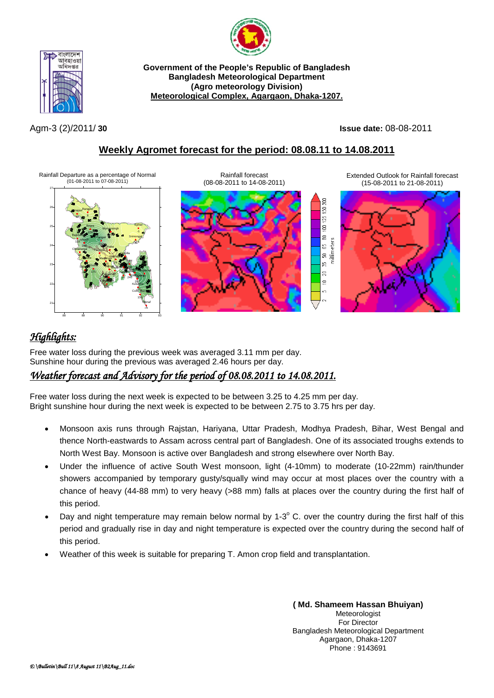



**Government of the People's Republic of Bangladesh Bangladesh Meteorological Department (Agro meteorology Division) Meteorological Complex, Agargaon, Dhaka-1207.**

Agm-3 (2)/2011/ **30 Issue date:** 08-08-2011

## **Weekly Agromet forecast for the period: 08.08.11 to 14.08.2011**

Rainfall Departure as a percentage of Normal (01-08-2011 to 07-08-2011)



Rainfall forecast (08-08-2011 to 14-08-2011)

Extended Outlook for Rainfall forecast (15-08-2011 to 21-08-2011)

g S  $\overline{25}$ g g

59 នី ю, g  $\equiv$ s,



## *Highlights:*

Free water loss during the previous week was averaged 3.11 mm per day. Sunshine hour during the previous was averaged 2.46 hours per day.

## *Weather forecast and Advisory for the period of 08.08.2011 to 14.08.2011.*

Free water loss during the next week is expected to be between 3.25 to 4.25 mm per day. Bright sunshine hour during the next week is expected to be between 2.75 to 3.75 hrs per day.

- Monsoon axis runs through Rajstan, Hariyana, Uttar Pradesh, Modhya Pradesh, Bihar, West Bengal and thence North-eastwards to Assam across central part of Bangladesh. One of its associated troughs extends to North West Bay. Monsoon is active over Bangladesh and strong elsewhere over North Bay.
- Under the influence of active South West monsoon, light (4-10mm) to moderate (10-22mm) rain/thunder showers accompanied by temporary gusty/squally wind may occur at most places over the country with a chance of heavy (44-88 mm) to very heavy (>88 mm) falls at places over the country during the first half of this period.
- Day and night temperature may remain below normal by 1-3 $^{\circ}$  C. over the country during the first half of this period and gradually rise in day and night temperature is expected over the country during the second half of this period.
- Weather of this week is suitable for preparing T. Amon crop field and transplantation.

**( Md. Shameem Hassan Bhuiyan) Meteorologist** For Director Bangladesh Meteorological Department Agargaon, Dhaka-1207 Phone : 9143691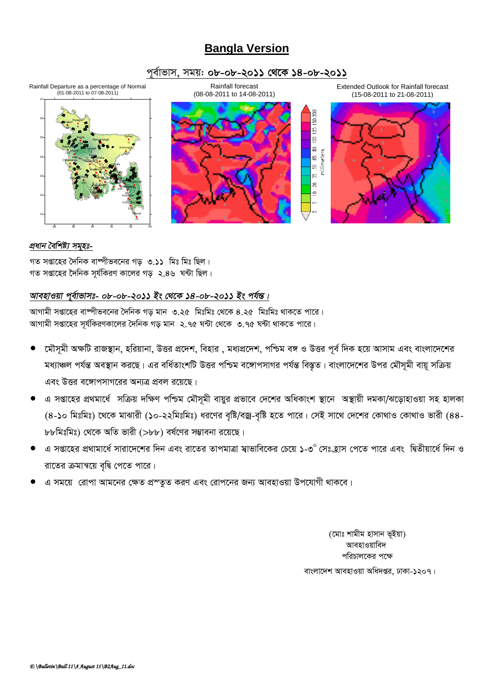# **Bangla Version**

### পূর্বাভাস, সময়: ০৮-০৮-২০১১ থেকে ১৪-০৮-২০১১



#### প্ৰধান বৈশিষ্ট্য সমূহঃ-

গত সপ্তাহের দৈনিক বাম্পীভবনের গড় ৩.১১ মিঃ মিঃ ছিল। গত সপ্তাহের দৈনিক সূর্যকিরণ কালের গড় ২.৪৬ ঘন্টা ছিল।

## আবহাওয়া পূর্বাভাসঃ- ০৮-০৮-২০১১ ইং থেকে ১৪-০৮-২০১১ ইং পর্যন্ত।

আগামী সপ্তাহের বাম্পীভবনের দৈনিক গড় মান ৩.২৫ মিঃমিঃ থেকে ৪.২৫ মিঃমিঃ থাকতে পারে। আগামী সপ্তাহের সর্যকিরণকালের দৈনিক গড মান ২.৭৫ ঘন্টা থেকে ৩.৭৫ ঘন্টা থাকতে পারে।

- মৌসমী অক্ষটি রাজস্থান, হরিয়ানা, উত্তর প্রদেশ, বিহার , মধ্যপ্রদেশ, পশ্চিম বঙ্গ ও উত্তর পূর্ব দিক হয়ে আসাম এবং বাংলাদেশের মধ্যাঞ্চল পর্যন্ত অবস্থান করছে। এর বর্ধিতাংশটি উত্তর পশ্চিম বঙ্গোপসাগর পর্যন্ত বিস্তৃত। বাংলাদেশের উপর মৌসূমী বায়ূ সক্রিয় এবং উত্তর বঙ্গোপসাগরের অন্যত্র প্রবল রয়েছে।
- এ সপ্তাহের প্রথমার্ধে সক্রিয় দক্ষিণ পশ্চিম মৌসুমী বায়ুর প্রভাবে দেশের অধিকাংশ স্থানে অস্থায়ী দমকা/ঝড়োহাওয়া সহ হালকা (৪-১০ মিঃমিঃ) থেকে মাঝারী (১০-২২মিঃমিঃ) ধরণের বৃষ্টি/বজ্র-বৃষ্টি হতে পারে। সেই সাথে দেশের কোথাও কোথাও ভারী (৪৪-৮৮মিঃমিঃ) থেকে অতি ভারী (>৮৮) বর্ষণের সম্ভাবনা রয়েছে।
- এ সপ্তাহের প্রথামার্ধে সারাদেশের দিন এবং রাতের তাপমাত্রা স্বাভাবিকের চেয়ে ১-৩° সেঃহ্রাস পেতে পারে এবং দ্বিতীয়ার্ধে দিন ও রাতের ক্রমান্বয়ে বৃদ্বি পেতে পারে।
- এ সময়ে রোপা আমনের ক্ষেত প্রস্তুত করণ এবং রোপনের জন্য আবহাওয়া উপযোগী থাকবে।

(মোঃ শামীম হাসান ভূইয়া) আবহাওয়াবিদ পরিচালকের পক্ষে বাংলাদেশ আবহাওয়া অধিদপ্তর, ঢাকা-১২০৭।